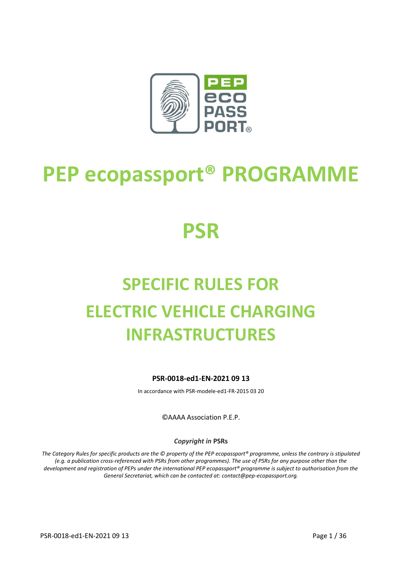

# **PEP ecopassport® PROGRAMME**

# **PSR**

# **SPECIFIC RULES FOR ELECTRIC VEHICLE CHARGING INFRASTRUCTURES**

**PSR-0018-ed1-EN-2021 09 13**

In accordance with PSR-modele-ed1-FR-2015 03 20

©AAAA Association P.E.P.

*Copyright in* **PSRs**

*The Category Rules for specific products are the © property of the PEP ecopassport® programme, unless the contrary is stipulated (e.g. a publication cross-referenced with PSRs from other programmes). The use of PSRs for any purpose other than the development and registration of PEPs under the international PEP ecopassport® programme is subject to authorisation from the General Secretariat, which can be contacted at: contact@pep-ecopassport.org.*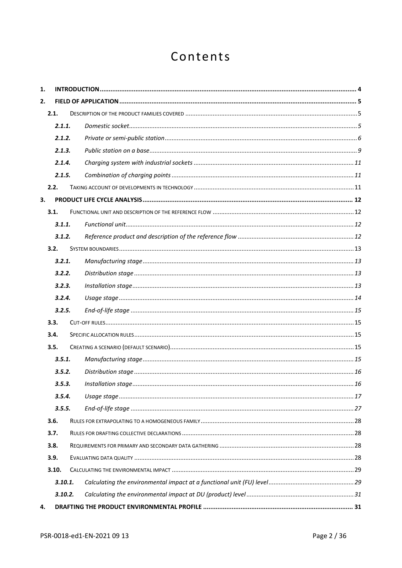# Contents

| 1. |         |  |  |
|----|---------|--|--|
| 2. |         |  |  |
|    | 2.1.    |  |  |
|    | 2.1.1.  |  |  |
|    | 2.1.2.  |  |  |
|    | 2.1.3.  |  |  |
|    | 2.1.4.  |  |  |
|    | 2.1.5.  |  |  |
|    | 2.2.    |  |  |
| 3. |         |  |  |
|    | 3.1.    |  |  |
|    | 3.1.1.  |  |  |
|    | 3.1.2.  |  |  |
|    | 3.2.    |  |  |
|    | 3.2.1.  |  |  |
|    | 3.2.2.  |  |  |
|    | 3.2.3.  |  |  |
|    | 3.2.4.  |  |  |
|    | 3.2.5.  |  |  |
|    | 3.3.    |  |  |
|    | 3.4.    |  |  |
|    | 3.5.    |  |  |
|    | 3.5.1.  |  |  |
|    | 3.5.2.  |  |  |
|    | 3.5.3.  |  |  |
|    | 3.5.4.  |  |  |
|    | 3.5.5.  |  |  |
|    | 3.6.    |  |  |
|    | 3.7.    |  |  |
|    | 3.8.    |  |  |
|    | 3.9.    |  |  |
|    | 3.10.   |  |  |
|    | 3.10.1. |  |  |
|    | 3.10.2. |  |  |
| 4. |         |  |  |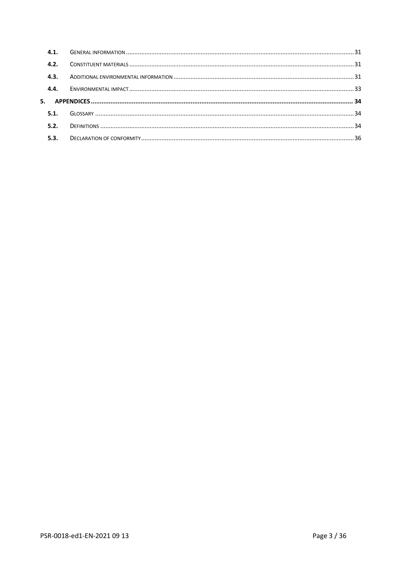| 4.1. |  |
|------|--|
| 4.2. |  |
| 4.3. |  |
| 4.4. |  |
|      |  |
| 5.   |  |
| 5.1. |  |
| 5.2. |  |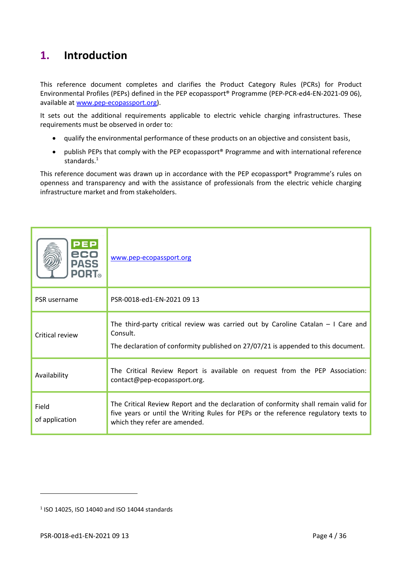### <span id="page-3-0"></span>**1. Introduction**

This reference document completes and clarifies the Product Category Rules (PCRs) for Product Environmental Profiles (PEPs) defined in the PEP ecopassport® Programme (PEP-PCR-ed4-EN-2021-09 06), available at [www.pep-ecopassport.org\)](http://www.pep-ecopassport.org/).

It sets out the additional requirements applicable to electric vehicle charging infrastructures. These requirements must be observed in order to:

- qualify the environmental performance of these products on an objective and consistent basis,
- publish PEPs that comply with the PEP ecopassport® Programme and with international reference standards.<sup>1</sup>

This reference document was drawn up in accordance with the PEP ecopassport® Programme's rules on openness and transparency and with the assistance of professionals from the electric vehicle charging infrastructure market and from stakeholders.

| <b>PEP</b><br>eco<br><b>PASS</b><br><b>PORT</b> ® | www.pep-ecopassport.org                                                                                                                                                                                     |
|---------------------------------------------------|-------------------------------------------------------------------------------------------------------------------------------------------------------------------------------------------------------------|
| PSR username                                      | PSR-0018-ed1-EN-2021 09 13                                                                                                                                                                                  |
| Critical review                                   | The third-party critical review was carried out by Caroline Catalan $-1$ Care and<br>Consult.<br>The declaration of conformity published on 27/07/21 is appended to this document.                          |
| Availability                                      | The Critical Review Report is available on request from the PEP Association:<br>contact@pep-ecopassport.org.                                                                                                |
| Field<br>of application                           | The Critical Review Report and the declaration of conformity shall remain valid for<br>five years or until the Writing Rules for PEPs or the reference regulatory texts to<br>which they refer are amended. |

<sup>1</sup> ISO 14025, ISO 14040 and ISO 14044 standards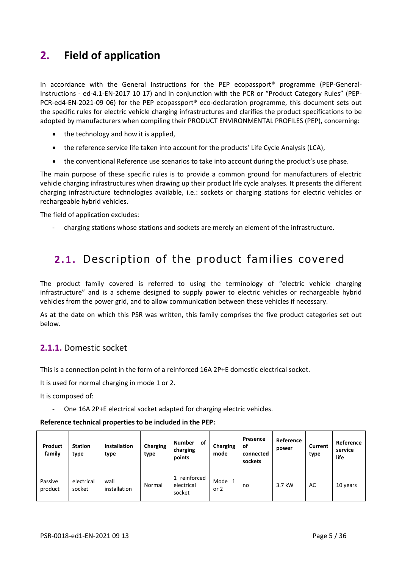# <span id="page-4-0"></span>**2. Field of application**

In accordance with the General Instructions for the PEP ecopassport® programme (PEP-General-Instructions - ed-4.1-EN-2017 10 17) and in conjunction with the PCR or "Product Category Rules" (PEP-PCR-ed4-EN-2021-09 06) for the PEP ecopassport® eco-declaration programme, this document sets out the specific rules for electric vehicle charging infrastructures and clarifies the product specifications to be adopted by manufacturers when compiling their PRODUCT ENVIRONMENTAL PROFILES (PEP), concerning:

- the technology and how it is applied,
- the reference service life taken into account for the products' Life Cycle Analysis (LCA),
- the conventional Reference use scenarios to take into account during the product's use phase.

The main purpose of these specific rules is to provide a common ground for manufacturers of electric vehicle charging infrastructures when drawing up their product life cycle analyses. It presents the different charging infrastructure technologies available, i.e.: sockets or charging stations for electric vehicles or rechargeable hybrid vehicles.

The field of application excludes:

<span id="page-4-1"></span>charging stations whose stations and sockets are merely an element of the infrastructure.

# 2.1. Description of the product families covered

The product family covered is referred to using the terminology of "electric vehicle charging infrastructure" and is a scheme designed to supply power to electric vehicles or rechargeable hybrid vehicles from the power grid, and to allow communication between these vehicles if necessary.

As at the date on which this PSR was written, this family comprises the five product categories set out below.

### <span id="page-4-2"></span>**2.1.1.** Domestic socket

This is a connection point in the form of a reinforced 16A 2P+E domestic electrical socket.

It is used for normal charging in mode 1 or 2.

It is composed of:

One 16A 2P+E electrical socket adapted for charging electric vehicles.

#### **Reference technical properties to be included in the PEP:**

| Product<br>family  | <b>Station</b><br>type | <b>Installation</b><br>type | Charging<br>type | <b>Number</b><br>of<br>charging<br>points | Charging<br>mode | Presence<br>οf<br>connected<br>sockets | Reference<br>power | Current<br>type | Reference<br>service<br>life |
|--------------------|------------------------|-----------------------------|------------------|-------------------------------------------|------------------|----------------------------------------|--------------------|-----------------|------------------------------|
| Passive<br>product | electrical<br>socket   | wall<br>installation        | Normal           | reinforced<br>electrical<br>socket        | Mode 1<br>or 2   | no                                     | 3.7 kW             | AC              | 10 years                     |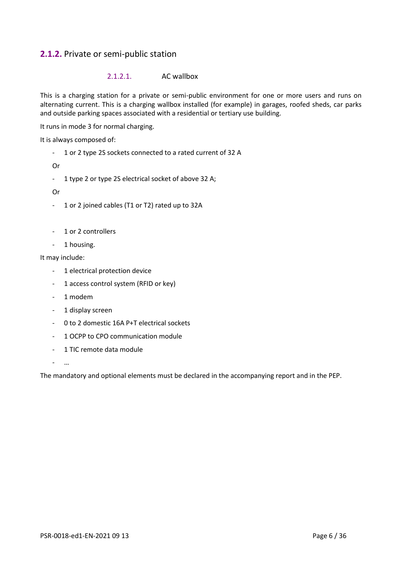### <span id="page-5-0"></span>**2.1.2.** Private or semi-public station

#### 2.1.2.1. AC wallbox

This is a charging station for a private or semi-public environment for one or more users and runs on alternating current. This is a charging wallbox installed (for example) in garages, roofed sheds, car parks and outside parking spaces associated with a residential or tertiary use building.

It runs in mode 3 for normal charging.

It is always composed of:

- 1 or 2 type 2S sockets connected to a rated current of 32 A

Or

- 1 type 2 or type 2S electrical socket of above 32 A;

Or

- 1 or 2 joined cables (T1 or T2) rated up to 32A
- 1 or 2 controllers
- 1 housing.

It may include:

- 1 electrical protection device
- 1 access control system (RFID or key)
- 1 modem
- 1 display screen
- 0 to 2 domestic 16A P+T electrical sockets
- 1 OCPP to CPO communication module
- 1 TIC remote data module

- …

The mandatory and optional elements must be declared in the accompanying report and in the PEP.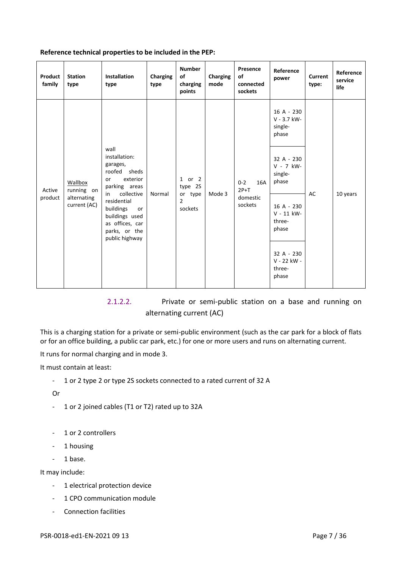| Product<br>family | <b>Station</b><br>type                               | <b>Installation</b><br>type                                                                                                                                                                                                  | <b>Charging</b><br>type | <b>Number</b><br>of<br>charging<br>points        | Charging<br>mode | Presence<br>of<br>connected<br>sockets          | Reference<br>power                             | Current<br>type: | Reference<br>service<br>life |
|-------------------|------------------------------------------------------|------------------------------------------------------------------------------------------------------------------------------------------------------------------------------------------------------------------------------|-------------------------|--------------------------------------------------|------------------|-------------------------------------------------|------------------------------------------------|------------------|------------------------------|
|                   |                                                      |                                                                                                                                                                                                                              |                         |                                                  |                  |                                                 | 16 A - 230<br>V - 3.7 kW-<br>single-<br>phase  |                  |                              |
| Active            | Wallbox<br>running on<br>alternating<br>current (AC) | wall<br>installation:<br>garages,<br>roofed sheds<br>exterior<br>or<br>parking areas<br>collective<br>Normal<br>in<br>residential<br>buildings<br>or<br>buildings used<br>as offices, car<br>parks, or the<br>public highway |                         | $1$ or $2$<br>type 2S<br>or type<br>2<br>sockets | Mode 3           | $0 - 2$<br>16A<br>$2P+T$<br>domestic<br>sockets | 32 A - 230<br>V - 7 kW-<br>single-<br>phase    | AC               | 10 years                     |
| product           |                                                      |                                                                                                                                                                                                                              |                         |                                                  |                  |                                                 | $16A - 230$<br>V - 11 kW-<br>three-<br>phase   |                  |                              |
|                   |                                                      |                                                                                                                                                                                                                              |                         |                                                  |                  |                                                 | $32 A - 230$<br>V - 22 kW -<br>three-<br>phase |                  |                              |

#### **Reference technical properties to be included in the PEP:**

2.1.2.2. Private or semi-public station on a base and running on alternating current (AC)

This is a charging station for a private or semi-public environment (such as the car park for a block of flats or for an office building, a public car park, etc.) for one or more users and runs on alternating current.

It runs for normal charging and in mode 3.

It must contain at least:

- 1 or 2 type 2 or type 2S sockets connected to a rated current of 32 A

Or

- 1 or 2 joined cables (T1 or T2) rated up to 32A
- 1 or 2 controllers
- 1 housing
- 1 base.

It may include:

- 1 electrical protection device
- 1 CPO communication module
- Connection facilities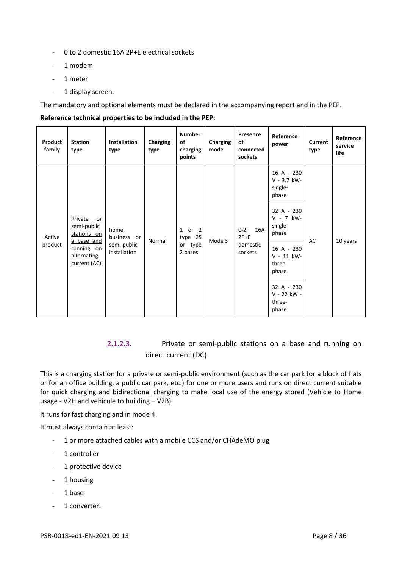- 0 to 2 domestic 16A 2P+E electrical sockets
- 1 modem
- 1 meter
- 1 display screen.

The mandatory and optional elements must be declared in the accompanying report and in the PEP.

#### **Reference technical properties to be included in the PEP:**

| Product<br>family | <b>Station</b><br>type                                                                                 | <b>Installation</b><br>type                         | Charging<br>type | <b>Number</b><br>of<br>charging<br>points   | Charging<br>mode | Presence<br>of<br>connected<br>sockets          | Reference<br>power                            | Current<br>type | Reference<br>service<br>life |
|-------------------|--------------------------------------------------------------------------------------------------------|-----------------------------------------------------|------------------|---------------------------------------------|------------------|-------------------------------------------------|-----------------------------------------------|-----------------|------------------------------|
| Active<br>product |                                                                                                        |                                                     |                  |                                             |                  |                                                 | 16 A - 230<br>V - 3.7 kW-<br>single-<br>phase |                 |                              |
|                   | Private<br>or<br>semi-public<br>stations on<br>a base and<br>running on<br>alternating<br>current (AC) | home,<br>business or<br>semi-public<br>installation | Normal           | $1$ or $2$<br>type 2S<br>or type<br>2 bases | Mode 3           | $0 - 2$<br>16A<br>$2P+E$<br>domestic<br>sockets | 32 A - 230<br>$V - 7$ kW-<br>single-<br>phase | AC              | 10 years                     |
|                   |                                                                                                        |                                                     |                  |                                             |                  |                                                 | 16 A - 230<br>$V - 11$ kW-<br>three-<br>phase |                 |                              |
|                   |                                                                                                        |                                                     |                  |                                             |                  |                                                 | 32 A - 230<br>V - 22 kW -<br>three-<br>phase  |                 |                              |

### 2.1.2.3. Private or semi-public stations on a base and running on direct current (DC)

This is a charging station for a private or semi-public environment (such as the car park for a block of flats or for an office building, a public car park, etc.) for one or more users and runs on direct current suitable for quick charging and bidirectional charging to make local use of the energy stored (Vehicle to Home usage - V2H and vehicule to building – V2B).

It runs for fast charging and in mode 4.

It must always contain at least:

- 1 or more attached cables with a mobile CCS and/or CHAdeMO plug
- 1 controller
- 1 protective device
- 1 housing
- 1 base
- 1 converter.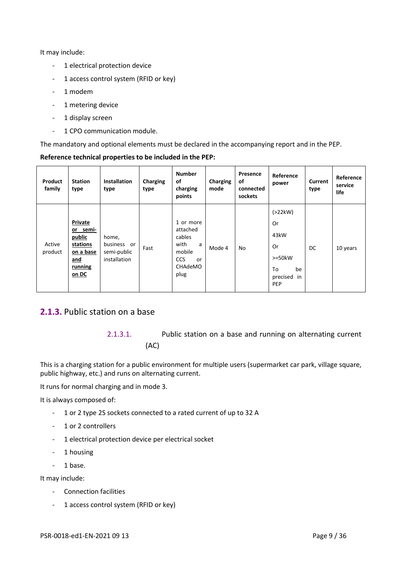It may include:

- 1 electrical protection device
- 1 access control system (RFID or key)
- 1 modem
- 1 metering device
- 1 display screen
- 1 CPO communication module.

The mandatory and optional elements must be declared in the accompanying report and in the PEP.

#### **Reference technical properties to be included in the PEP:**

| Product<br>family | <b>Station</b><br>type                                                               | <b>Installation</b><br>type                         | Charging<br>type | <b>Number</b><br>of<br>charging<br>points                                                     | Charging<br>mode | Presence<br>of<br>connected<br>sockets | Reference<br>power                                                        | Current<br>type | Reference<br>service<br>life |
|-------------------|--------------------------------------------------------------------------------------|-----------------------------------------------------|------------------|-----------------------------------------------------------------------------------------------|------------------|----------------------------------------|---------------------------------------------------------------------------|-----------------|------------------------------|
| Active<br>product | Private<br>semi-<br>or<br>public<br>stations<br>on a base<br>and<br>running<br>on DC | home,<br>business or<br>semi-public<br>installation | Fast             | 1 or more<br>attached<br>cables<br>with<br>a<br>mobile<br><b>CCS</b><br>or<br>CHAdeMO<br>plug | Mode 4           | No                                     | (>22kW)<br>0r<br>43kW<br>0r<br>$>=50kW$<br>be<br>To<br>precised in<br>PEP | DC              | 10 years                     |

### <span id="page-8-0"></span>**2.1.3.** Public station on a base

2.1.3.1. Public station on a base and running on alternating current (AC)

This is a charging station for a public environment for multiple users (supermarket car park, village square, public highway, etc.) and runs on alternating current.

It runs for normal charging and in mode 3.

It is always composed of:

- 1 or 2 type 2S sockets connected to a rated current of up to 32 A
- 1 or 2 controllers
- 1 electrical protection device per electrical socket
- 1 housing
- 1 base.

It may include:

- Connection facilities
- 1 access control system (RFID or key)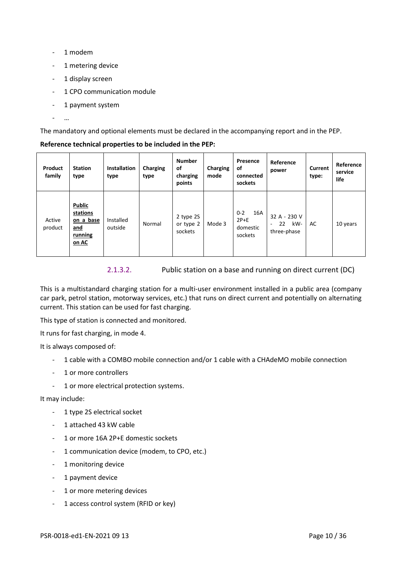- 1 modem
- 1 metering device
- 1 display screen
- 1 CPO communication module
- 1 payment system
- …

The mandatory and optional elements must be declared in the accompanying report and in the PEP.

#### **Reference technical properties to be included in the PEP:**

| Product<br>family | <b>Station</b><br>type                                            | <b>Installation</b><br>type | Charging<br>type | <b>Number</b><br>of<br>charging<br>points | Charging<br>mode | Presence<br>οf<br>connected<br>sockets          | Reference<br>power                            | Current<br>type: | Reference<br>service<br>life |
|-------------------|-------------------------------------------------------------------|-----------------------------|------------------|-------------------------------------------|------------------|-------------------------------------------------|-----------------------------------------------|------------------|------------------------------|
| Active<br>product | <b>Public</b><br>stations<br>on a base<br>and<br>running<br>on AC | Installed<br>outside        | Normal           | 2 type 2S<br>or type 2<br>sockets         | Mode 3           | $0 - 2$<br>16A<br>$2P+E$<br>domestic<br>sockets | 32 A - 230 V<br>22<br>kW-<br>٠<br>three-phase | AC               | 10 years                     |

2.1.3.2. Public station on a base and running on direct current (DC)

This is a multistandard charging station for a multi-user environment installed in a public area (company car park, petrol station, motorway services, etc.) that runs on direct current and potentially on alternating current. This station can be used for fast charging.

This type of station is connected and monitored.

It runs for fast charging, in mode 4.

It is always composed of:

- 1 cable with a COMBO mobile connection and/or 1 cable with a CHAdeMO mobile connection
- 1 or more controllers
- 1 or more electrical protection systems.

It may include:

- 1 type 2S electrical socket
- 1 attached 43 kW cable
- 1 or more 16A 2P+E domestic sockets
- 1 communication device (modem, to CPO, etc.)
- 1 monitoring device
- 1 payment device
- 1 or more metering devices
- 1 access control system (RFID or key)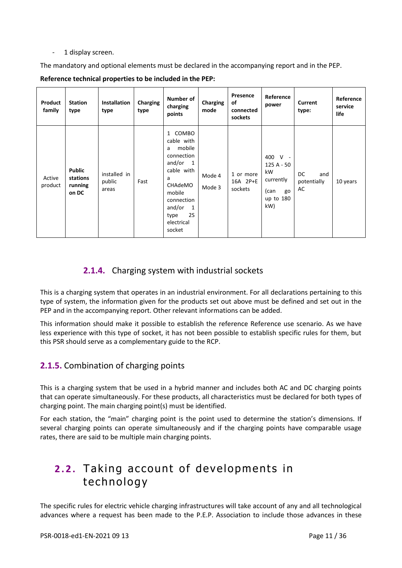1 display screen.

The mandatory and optional elements must be declared in the accompanying report and in the PEP.

**Reference technical properties to be included in the PEP:**

| Product<br>family | <b>Station</b><br>type                        | <b>Installation</b><br>type     | <b>Charging</b><br>type | Number of<br>charging<br>points                                                                                                                                                            | Charging<br>mode | Presence<br>of<br>connected<br>sockets | Reference<br>power                                                         | Current<br>type:               | Reference<br>service<br>life |
|-------------------|-----------------------------------------------|---------------------------------|-------------------------|--------------------------------------------------------------------------------------------------------------------------------------------------------------------------------------------|------------------|----------------------------------------|----------------------------------------------------------------------------|--------------------------------|------------------------------|
| Active<br>product | <b>Public</b><br>stations<br>running<br>on DC | installed in<br>public<br>areas | Fast                    | COMBO<br>$\mathbf{1}$<br>cable with<br>mobile<br>a<br>connection<br>and/or<br>1<br>cable with<br>a<br>CHAdeMO<br>mobile<br>connection<br>and/or<br>1<br>2S<br>type<br>electrical<br>socket | Mode 4<br>Mode 3 | 1 or more<br>16A 2P+E<br>sockets       | 400 V -<br>125 A - 50<br>kW<br>currently<br>(can<br>go<br>up to 180<br>kW) | DC<br>and<br>potentially<br>AC | 10 years                     |

### **2.1.4.** Charging system with industrial sockets

<span id="page-10-0"></span>This is a charging system that operates in an industrial environment. For all declarations pertaining to this type of system, the information given for the products set out above must be defined and set out in the PEP and in the accompanying report. Other relevant informations can be added.

This information should make it possible to establish the reference Reference use scenario. As we have less experience with this type of socket, it has not been possible to establish specific rules for them, but this PSR should serve as a complementary guide to the RCP.

### <span id="page-10-1"></span>**2.1.5.** Combination of charging points

This is a charging system that be used in a hybrid manner and includes both AC and DC charging points that can operate simultaneously. For these products, all characteristics must be declared for both types of charging point. The main charging point(s) must be identified.

For each station, the "main" charging point is the point used to determine the station's dimensions. If several charging points can operate simultaneously and if the charging points have comparable usage rates, there are said to be multiple main charging points.

# <span id="page-10-2"></span>2.2. Taking account of developments in technology

The specific rules for electric vehicle charging infrastructures will take account of any and all technological advances where a request has been made to the P.E.P. Association to include those advances in these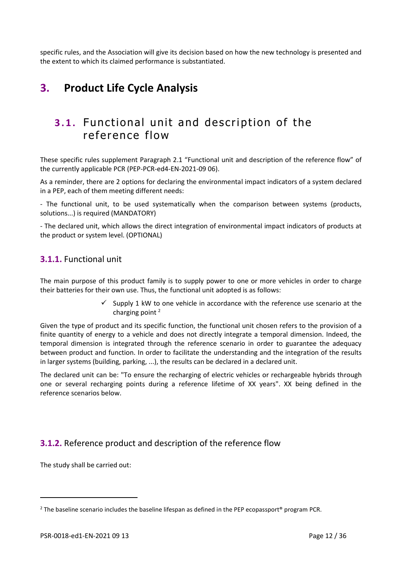specific rules, and the Association will give its decision based on how the new technology is presented and the extent to which its claimed performance is substantiated.

# <span id="page-11-1"></span><span id="page-11-0"></span>**3. Product Life Cycle Analysis**

### **3.1.** Functional unit and description of the reference flow

These specific rules supplement Paragraph 2.1 "Functional unit and description of the reference flow" of the currently applicable PCR (PEP-PCR-ed4-EN-2021-09 06).

As a reminder, there are 2 options for declaring the environmental impact indicators of a system declared in a PEP, each of them meeting different needs:

- The functional unit, to be used systematically when the comparison between systems (products, solutions...) is required (MANDATORY)

- The declared unit, which allows the direct integration of environmental impact indicators of products at the product or system level. (OPTIONAL)

### <span id="page-11-2"></span>**3.1.1.** Functional unit

The main purpose of this product family is to supply power to one or more vehicles in order to charge their batteries for their own use. Thus, the functional unit adopted is as follows:

> $\checkmark$  Supply 1 kW to one vehicle in accordance with the reference use scenario at the charging point<sup>2</sup>

Given the type of product and its specific function, the functional unit chosen refers to the provision of a finite quantity of energy to a vehicle and does not directly integrate a temporal dimension. Indeed, the temporal dimension is integrated through the reference scenario in order to guarantee the adequacy between product and function. In order to facilitate the understanding and the integration of the results in larger systems (building, parking, ...), the results can be declared in a declared unit.

The declared unit can be: "To ensure the recharging of electric vehicles or rechargeable hybrids through one or several recharging points during a reference lifetime of XX years". XX being defined in the reference scenarios below.

### <span id="page-11-3"></span>**3.1.2.** Reference product and description of the reference flow

The study shall be carried out:

<sup>&</sup>lt;sup>2</sup> The baseline scenario includes the baseline lifespan as defined in the PEP ecopassport<sup>®</sup> program PCR.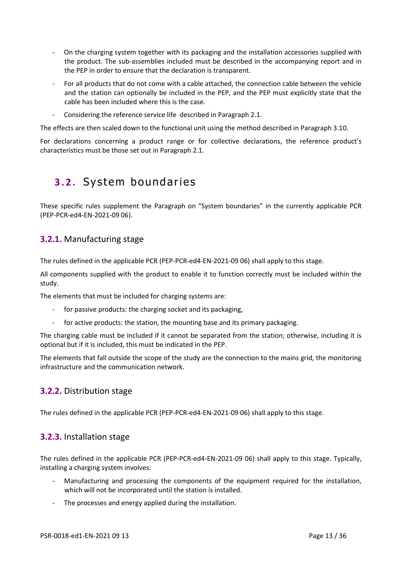- On the charging system together with its packaging and the installation accessories supplied with the product. The sub-assemblies included must be described in the accompanying report and in the PEP in order to ensure that the declaration is transparent.
- For all products that do not come with a cable attached, the connection cable between the vehicle and the station can optionally be included in the PEP, and the PEP must explicitly state that the cable has been included where this is the case.
- Considering the reference service life described in Paragraph 2.1.

The effects are then scaled down to the functional unit using the method described in Paragraph 3.10.

<span id="page-12-0"></span>For declarations concerning a product range or for collective declarations, the reference product's characteristics must be those set out in Paragrap[h 2.1.](#page-4-1)

### **3 . 2 .** System boundaries

These specific rules supplement the Paragraph on "System boundaries" in the currently applicable PCR (PEP-PCR-ed4-EN-2021-09 06).

### <span id="page-12-1"></span>**3.2.1.** Manufacturing stage

The rules defined in the applicable PCR (PEP-PCR-ed4-EN-2021-09 06) shall apply to this stage.

All components supplied with the product to enable it to function correctly must be included within the study.

The elements that must be included for charging systems are:

- for passive products: the charging socket and its packaging,
- for active products: the station, the mounting base and its primary packaging.

The charging cable must be included if it cannot be separated from the station; otherwise, including it is optional but if it is included, this must be indicated in the PEP.

The elements that fall outside the scope of the study are the connection to the mains grid, the monitoring infrastructure and the communication network.

### <span id="page-12-2"></span>**3.2.2.** Distribution stage

The rules defined in the applicable PCR (PEP-PCR-ed4-EN-2021-09 06) shall apply to this stage.

### <span id="page-12-3"></span>**3.2.3.** Installation stage

The rules defined in the applicable PCR (PEP-PCR-ed4-EN-2021-09 06) shall apply to this stage. Typically, installing a charging system involves:

- Manufacturing and processing the components of the equipment required for the installation, which will not be incorporated until the station is installed.
- The processes and energy applied during the installation.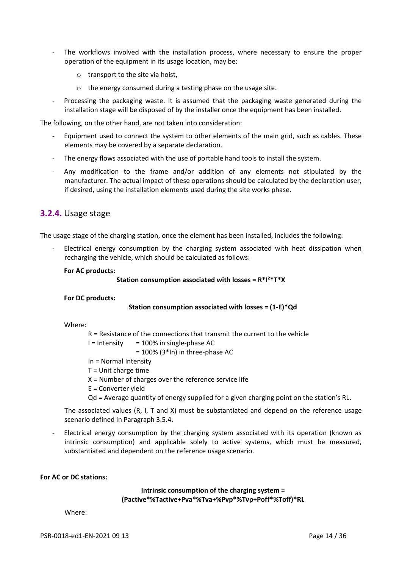- The workflows involved with the installation process, where necessary to ensure the proper operation of the equipment in its usage location, may be:
	- o transport to the site via hoist,
	- o the energy consumed during a testing phase on the usage site.
- Processing the packaging waste. It is assumed that the packaging waste generated during the installation stage will be disposed of by the installer once the equipment has been installed.

The following, on the other hand, are not taken into consideration:

- Equipment used to connect the system to other elements of the main grid, such as cables. These elements may be covered by a separate declaration.
- The energy flows associated with the use of portable hand tools to install the system.
- Any modification to the frame and/or addition of any elements not stipulated by the manufacturer. The actual impact of these operations should be calculated by the declaration user, if desired, using the installation elements used during the site works phase.

### <span id="page-13-0"></span>**3.2.4.** Usage stage

The usage stage of the charging station, once the element has been installed, includes the following:

Electrical energy consumption by the charging system associated with heat dissipation when recharging the vehicle, which should be calculated as follows:

#### **For AC products:**

#### **Station consumption associated with losses = R\*I²\*T\*X**

#### **For DC products:**

#### **Station consumption associated with losses = (1-E)\*Qd**

Where:

 $R =$  Resistance of the connections that transmit the current to the vehicle

 $I = Intensity = 100\%$  in single-phase AC

= 100% (3\*In) in three-phase AC

In = Normal Intensity

T = Unit charge time

X = Number of charges over the reference service life

E = Converter yield

Qd = Average quantity of energy supplied for a given charging point on the station's RL.

The associated values (R, I, T and X) must be substantiated and depend on the reference usage scenario defined in Paragraph 3.5.4.

Electrical energy consumption by the charging system associated with its operation (known as intrinsic consumption) and applicable solely to active systems, which must be measured, substantiated and dependent on the reference usage scenario.

#### **For AC or DC stations:**

**Intrinsic consumption of the charging system = (Pactive\*%Tactive+Pva\*%Tva+%Pvp\*%Tvp+Poff\*%Toff)\*RL**

Where: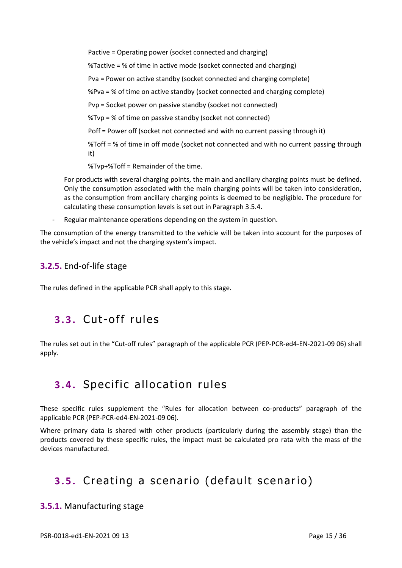Pactive = Operating power (socket connected and charging)

%Tactive = % of time in active mode (socket connected and charging)

Pva = Power on active standby (socket connected and charging complete)

%Pva = % of time on active standby (socket connected and charging complete)

Pvp = Socket power on passive standby (socket not connected)

%Tvp = % of time on passive standby (socket not connected)

Poff = Power off (socket not connected and with no current passing through it)

%Toff = % of time in off mode (socket not connected and with no current passing through it)

%Tvp+%Toff = Remainder of the time.

For products with several charging points, the main and ancillary charging points must be defined. Only the consumption associated with the main charging points will be taken into consideration, as the consumption from ancillary charging points is deemed to be negligible. The procedure for calculating these consumption levels is set out in Paragraph [3.5.4.](#page-16-0)

Regular maintenance operations depending on the system in question.

The consumption of the energy transmitted to the vehicle will be taken into account for the purposes of the vehicle's impact and not the charging system's impact.

### <span id="page-14-0"></span>**3.2.5.** End-of-life stage

<span id="page-14-1"></span>The rules defined in the applicable PCR shall apply to this stage.

### **3 . 3 .** Cut-off rules

<span id="page-14-2"></span>The rules set out in the "Cut-off rules" paragraph of the applicable PCR (PEP-PCR-ed4-EN-2021-09 06) shall apply.

### **3 . 4 .** Specific allocation rules

These specific rules supplement the "Rules for allocation between co-products" paragraph of the applicable PCR (PEP-PCR-ed4-EN-2021-09 06).

Where primary data is shared with other products (particularly during the assembly stage) than the products covered by these specific rules, the impact must be calculated pro rata with the mass of the devices manufactured.

### <span id="page-14-3"></span>**3.5.** Creating a scenario (default scenario)

#### <span id="page-14-4"></span>**3.5.1.** Manufacturing stage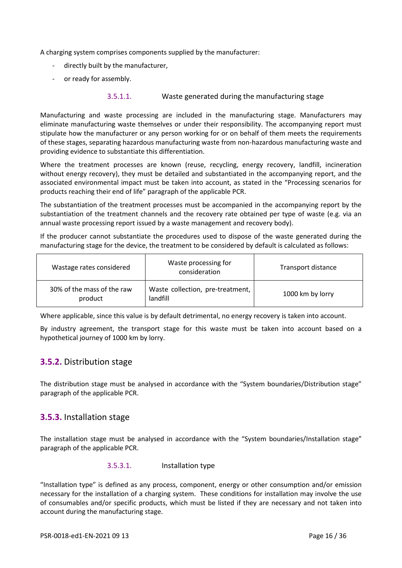A charging system comprises components supplied by the manufacturer:

- directly built by the manufacturer,
- or ready for assembly.

#### 3.5.1.1. Waste generated during the manufacturing stage

Manufacturing and waste processing are included in the manufacturing stage. Manufacturers may eliminate manufacturing waste themselves or under their responsibility. The accompanying report must stipulate how the manufacturer or any person working for or on behalf of them meets the requirements of these stages, separating hazardous manufacturing waste from non-hazardous manufacturing waste and providing evidence to substantiate this differentiation.

Where the treatment processes are known (reuse, recycling, energy recovery, landfill, incineration without energy recovery), they must be detailed and substantiated in the accompanying report, and the associated environmental impact must be taken into account, as stated in the "Processing scenarios for products reaching their end of life" paragraph of the applicable PCR.

The substantiation of the treatment processes must be accompanied in the accompanying report by the substantiation of the treatment channels and the recovery rate obtained per type of waste (e.g. via an annual waste processing report issued by a waste management and recovery body).

If the producer cannot substantiate the procedures used to dispose of the waste generated during the manufacturing stage for the device, the treatment to be considered by default is calculated as follows:

| Wastage rates considered              | Waste processing for<br>consideration        | <b>Transport distance</b> |
|---------------------------------------|----------------------------------------------|---------------------------|
| 30% of the mass of the raw<br>product | Waste collection, pre-treatment,<br>landfill | 1000 km by lorry          |

Where applicable, since this value is by default detrimental, no energy recovery is taken into account.

By industry agreement, the transport stage for this waste must be taken into account based on a hypothetical journey of 1000 km by lorry.

### <span id="page-15-0"></span>**3.5.2.** Distribution stage

The distribution stage must be analysed in accordance with the "System boundaries/Distribution stage" paragraph of the applicable PCR.

### <span id="page-15-1"></span>**3.5.3.** Installation stage

The installation stage must be analysed in accordance with the "System boundaries/Installation stage" paragraph of the applicable PCR.

3.5.3.1. Installation type

"Installation type" is defined as any process, component, energy or other consumption and/or emission necessary for the installation of a charging system. These conditions for installation may involve the use of consumables and/or specific products, which must be listed if they are necessary and not taken into account during the manufacturing stage.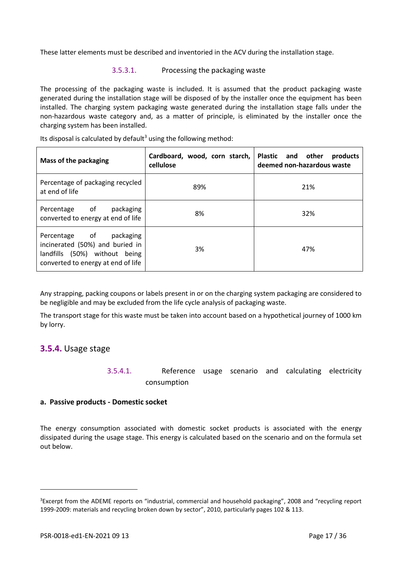These latter elements must be described and inventoried in the ACV during the installation stage.

#### 3.5.3.1. Processing the packaging waste

The processing of the packaging waste is included. It is assumed that the product packaging waste generated during the installation stage will be disposed of by the installer once the equipment has been installed. The charging system packaging waste generated during the installation stage falls under the non-hazardous waste category and, as a matter of principle, is eliminated by the installer once the charging system has been installed.

Its disposal is calculated by default<sup>3</sup> using the following method:

| Mass of the packaging                                                                                                                | Cardboard, wood, corn starch,<br>cellulose | Plastic and other<br>products<br>deemed non-hazardous waste |
|--------------------------------------------------------------------------------------------------------------------------------------|--------------------------------------------|-------------------------------------------------------------|
| Percentage of packaging recycled<br>at end of life                                                                                   | 89%                                        | 21%                                                         |
| Percentage of<br>packaging<br>converted to energy at end of life                                                                     | 8%                                         | 32%                                                         |
| Percentage of<br>packaging<br>incinerated (50%) and buried in<br>landfills (50%) without being<br>converted to energy at end of life | 3%                                         | 47%                                                         |

Any strapping, packing coupons or labels present in or on the charging system packaging are considered to be negligible and may be excluded from the life cycle analysis of packaging waste.

The transport stage for this waste must be taken into account based on a hypothetical journey of 1000 km by lorry.

### <span id="page-16-0"></span>**3.5.4.** Usage stage

### 3.5.4.1. Reference usage scenario and calculating electricity consumption

#### **a. Passive products - Domestic socket**

The energy consumption associated with domestic socket products is associated with the energy dissipated during the usage stage. This energy is calculated based on the scenario and on the formula set out below.

<sup>&</sup>lt;sup>3</sup>Excerpt from the ADEME reports on "industrial, commercial and household packaging", 2008 and "recycling report 1999-2009: materials and recycling broken down by sector", 2010, particularly pages 102 & 113.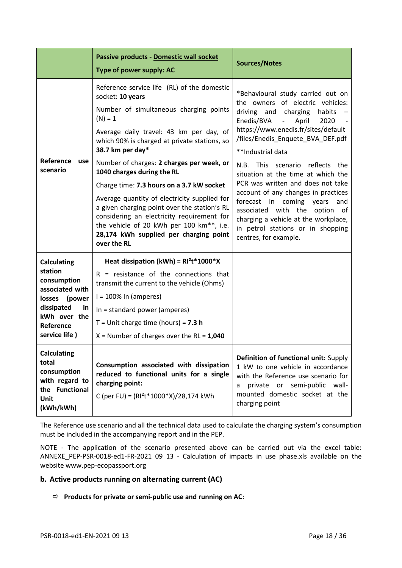|                                                                                                                                                     | <b>Passive products - Domestic wall socket</b><br>Type of power supply: AC                                                                                                                                                                                                                                                                                                                                                                                                                                                                                                                                                    | <b>Sources/Notes</b>                                                                                                                                                                                                                                                                                                                                                                                                                                                                                                                                                                   |
|-----------------------------------------------------------------------------------------------------------------------------------------------------|-------------------------------------------------------------------------------------------------------------------------------------------------------------------------------------------------------------------------------------------------------------------------------------------------------------------------------------------------------------------------------------------------------------------------------------------------------------------------------------------------------------------------------------------------------------------------------------------------------------------------------|----------------------------------------------------------------------------------------------------------------------------------------------------------------------------------------------------------------------------------------------------------------------------------------------------------------------------------------------------------------------------------------------------------------------------------------------------------------------------------------------------------------------------------------------------------------------------------------|
| Reference<br>use<br>scenario                                                                                                                        | Reference service life (RL) of the domestic<br>socket: 10 years<br>Number of simultaneous charging points<br>$(N) = 1$<br>Average daily travel: 43 km per day, of<br>which 90% is charged at private stations, so<br>38.7 km per day*<br>Number of charges: 2 charges per week, or<br>1040 charges during the RL<br>Charge time: 7.3 hours on a 3.7 kW socket<br>Average quantity of electricity supplied for<br>a given charging point over the station's RL<br>considering an electricity requirement for<br>the vehicle of 20 kWh per 100 km <sup>**</sup> , i.e.<br>28,174 kWh supplied per charging point<br>over the RL | *Behavioural study carried out on<br>the owners of electric vehicles:<br>driving and charging<br>habits<br>Enedis/BVA<br>April<br>2020<br>$\sim$<br>https://www.enedis.fr/sites/default<br>/files/Enedis Enquete BVA DEF.pdf<br>**Industrial data<br>N.B. This scenario reflects the<br>situation at the time at which the<br>PCR was written and does not take<br>account of any changes in practices<br>forecast in coming years<br>and<br>associated with the<br>option<br>0f<br>charging a vehicle at the workplace,<br>in petrol stations or in shopping<br>centres, for example. |
| <b>Calculating</b><br>station<br>consumption<br>associated with<br>losses (power<br>dissipated<br>in.<br>kWh over the<br>Reference<br>service life) | Heat dissipation (kWh) = $RI^2t^*1000^*X$<br>$R =$ resistance of the connections that<br>transmit the current to the vehicle (Ohms)<br>$I = 100\%$ In (amperes)<br>$In = standard power (amperes)$<br>T = Unit charge time (hours) = $7.3 h$<br>$X =$ Number of charges over the RL = 1,040                                                                                                                                                                                                                                                                                                                                   |                                                                                                                                                                                                                                                                                                                                                                                                                                                                                                                                                                                        |
| <b>Calculating</b><br>total<br>consumption<br>with regard to<br>the Functional<br><b>Unit</b><br>(kWh/kWh)                                          | Consumption associated with dissipation<br>reduced to functional units for a single<br>charging point:<br>C (per FU) = $(Rl^2t*1000*X)/28,174$ kWh                                                                                                                                                                                                                                                                                                                                                                                                                                                                            | Definition of functional unit: Supply<br>1 kW to one vehicle in accordance<br>with the Reference use scenario for<br>private or semi-public<br>wall-<br>a<br>mounted domestic socket at the<br>charging point                                                                                                                                                                                                                                                                                                                                                                          |

The Reference use scenario and all the technical data used to calculate the charging system's consumption must be included in the accompanying report and in the PEP.

NOTE - The application of the scenario presented above can be carried out via the excel table: ANNEXE\_PEP-PSR-0018-ed1-FR-2021 09 13 - Calculation of impacts in use phase.xls available on the website www.pep-ecopassport.org

#### **b. Active products running on alternating current (AC)**

#### **Products for private or semi-public use and running on AC:**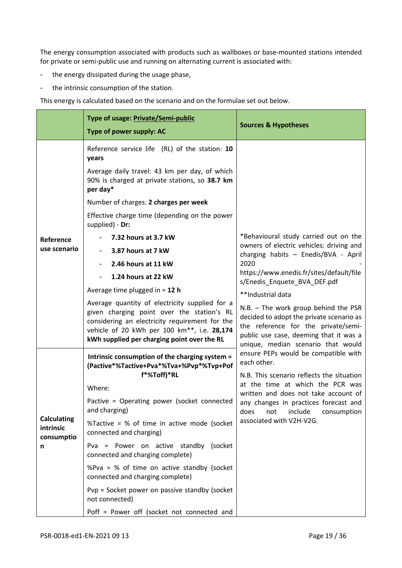The energy consumption associated with products such as wallboxes or base-mounted stations intended for private or semi-public use and running on alternating current is associated with:

- the energy dissipated during the usage phase,
- the intrinsic consumption of the station.

|                                                    | Type of usage: Private/Semi-public<br>Type of power supply: AC                                                                                                                                                                                                                                                                                                                                                                                                                                                                                                                                                                                                                   | <b>Sources &amp; Hypotheses</b>                                                                                                                                                                                                                                                                                                                                                                                                                 |
|----------------------------------------------------|----------------------------------------------------------------------------------------------------------------------------------------------------------------------------------------------------------------------------------------------------------------------------------------------------------------------------------------------------------------------------------------------------------------------------------------------------------------------------------------------------------------------------------------------------------------------------------------------------------------------------------------------------------------------------------|-------------------------------------------------------------------------------------------------------------------------------------------------------------------------------------------------------------------------------------------------------------------------------------------------------------------------------------------------------------------------------------------------------------------------------------------------|
| Reference<br>use scenario                          | Reference service life (RL) of the station: 10<br>years<br>Average daily travel: 43 km per day, of which<br>90% is charged at private stations, so 38.7 km<br>per day*<br>Number of charges: 2 charges per week<br>Effective charge time (depending on the power<br>supplied) - Dr:<br>7.32 hours at 3.7 kW<br>3.87 hours at 7 kW<br>2.46 hours at 11 kW<br>1.24 hours at 22 kW<br>Average time plugged in $= 12$ h<br>Average quantity of electricity supplied for a<br>given charging point over the station's RL<br>considering an electricity requirement for the<br>vehicle of 20 kWh per 100 km <sup>**</sup> , i.e. 28,174<br>kWh supplied per charging point over the RL | *Behavioural study carried out on the<br>owners of electric vehicles: driving and<br>charging habits - Enedis/BVA - April<br>2020<br>https://www.enedis.fr/sites/default/file<br>s/Enedis Enquete BVA DEF.pdf<br>**Industrial data<br>$N.B.$ – The work group behind the PSR<br>decided to adopt the private scenario as<br>the reference for the private/semi-<br>public use case, deeming that it was a<br>unique, median scenario that would |
| <b>Calculating</b><br>intrinsic<br>consumptio<br>n | Intrinsic consumption of the charging system =<br>(Pactive*%Tactive+Pva*%Tva+%Pvp*%Tvp+Pof<br>f*%Toff)*RL<br>Where:<br>Pactive = Operating power (socket connected<br>and charging)<br>%Tactive = % of time in active mode (socket<br>connected and charging)<br>Pva = Power on active standby (socket<br>connected and charging complete)<br>%Pva = % of time on active standby (socket<br>connected and charging complete)<br>Pvp = Socket power on passive standby (socket<br>not connected)<br>Poff = Power off (socket not connected and                                                                                                                                    | ensure PEPs would be compatible with<br>each other.<br>N.B. This scenario reflects the situation<br>at the time at which the PCR was<br>written and does not take account of<br>any changes in practices forecast and<br>does not include consumption<br>associated with V2H-V2G.                                                                                                                                                               |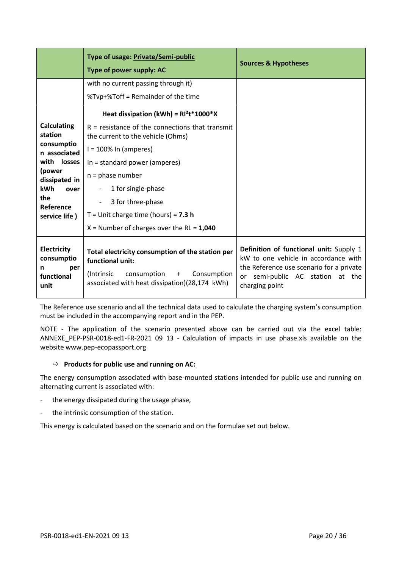|                                                                                                                                                                     | Type of usage: Private/Semi-public<br>Type of power supply: AC                                                                                                                                                                                                                                                                                             | <b>Sources &amp; Hypotheses</b>                                                                                                                                                      |
|---------------------------------------------------------------------------------------------------------------------------------------------------------------------|------------------------------------------------------------------------------------------------------------------------------------------------------------------------------------------------------------------------------------------------------------------------------------------------------------------------------------------------------------|--------------------------------------------------------------------------------------------------------------------------------------------------------------------------------------|
|                                                                                                                                                                     | with no current passing through it)<br>%Tvp+%Toff = Remainder of the time                                                                                                                                                                                                                                                                                  |                                                                                                                                                                                      |
| <b>Calculating</b><br>station<br>consumptio<br>n associated<br>losses<br>with<br>(power<br>dissipated in<br><b>kWh</b><br>over<br>the<br>Reference<br>service life) | Heat dissipation (kWh) = $RI^2t*1000*X$<br>$R =$ resistance of the connections that transmit<br>the current to the vehicle (Ohms)<br>$I = 100\%$ In (amperes)<br>$In = standard power (amperes)$<br>$n =$ phase number<br>1 for single-phase<br>3 for three-phase<br>T = Unit charge time (hours) = $7.3 h$<br>$X =$ Number of charges over the RL = 1,040 |                                                                                                                                                                                      |
| Electricity<br>consumptio<br>per<br>n<br>functional<br>unit                                                                                                         | Total electricity consumption of the station per<br>functional unit:<br>(Intrinsic<br>consumption<br>Consumption<br>$\ddot{}$<br>associated with heat dissipation)(28,174 kWh)                                                                                                                                                                             | Definition of functional unit: Supply 1<br>kW to one vehicle in accordance with<br>the Reference use scenario for a private<br>semi-public AC station at the<br>or<br>charging point |

The Reference use scenario and all the technical data used to calculate the charging system's consumption must be included in the accompanying report and in the PEP.

NOTE - The application of the scenario presented above can be carried out via the excel table: ANNEXE\_PEP-PSR-0018-ed1-FR-2021 09 13 - Calculation of impacts in use phase.xls available on the website www.pep-ecopassport.org

#### **Products for public use and running on AC:**

The energy consumption associated with base-mounted stations intended for public use and running on alternating current is associated with:

- the energy dissipated during the usage phase,
- the intrinsic consumption of the station.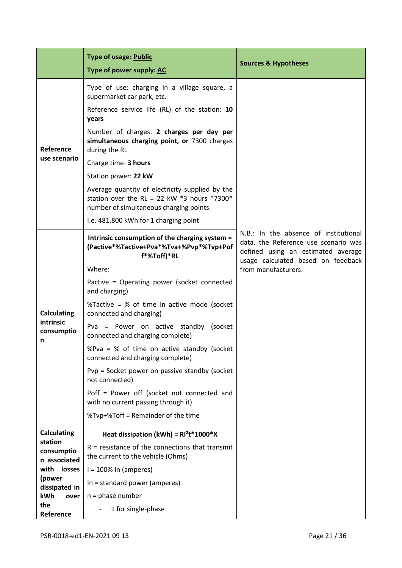|                                       | <b>Type of usage: Public</b><br>Type of power supply: AC                                                                                      | <b>Sources &amp; Hypotheses</b>                                                                                                                                                  |  |  |  |  |
|---------------------------------------|-----------------------------------------------------------------------------------------------------------------------------------------------|----------------------------------------------------------------------------------------------------------------------------------------------------------------------------------|--|--|--|--|
|                                       | Type of use: charging in a village square, a<br>supermarket car park, etc.                                                                    |                                                                                                                                                                                  |  |  |  |  |
| Reference<br>use scenario             | Reference service life (RL) of the station: 10<br>years                                                                                       |                                                                                                                                                                                  |  |  |  |  |
|                                       | Number of charges: 2 charges per day per<br>simultaneous charging point, or 7300 charges<br>during the RL                                     |                                                                                                                                                                                  |  |  |  |  |
|                                       | Charge time: 3 hours                                                                                                                          |                                                                                                                                                                                  |  |  |  |  |
|                                       | Station power: 22 kW                                                                                                                          |                                                                                                                                                                                  |  |  |  |  |
|                                       | Average quantity of electricity supplied by the<br>station over the RL = 22 kW $*3$ hours $*7300*$<br>number of simultaneous charging points. |                                                                                                                                                                                  |  |  |  |  |
|                                       | I.e. 481,800 kWh for 1 charging point                                                                                                         |                                                                                                                                                                                  |  |  |  |  |
|                                       | Intrinsic consumption of the charging system =<br>(Pactive*%Tactive+Pva*%Tva+%Pvp*%Tvp+Pof<br>f*%Toff)*RL                                     | N.B.: In the absence of institutional<br>data, the Reference use scenario was<br>defined using an estimated average<br>usage calculated based on feedback<br>from manufacturers. |  |  |  |  |
|                                       | Where:                                                                                                                                        |                                                                                                                                                                                  |  |  |  |  |
|                                       | Pactive = Operating power (socket connected<br>and charging)                                                                                  |                                                                                                                                                                                  |  |  |  |  |
| <b>Calculating</b>                    | %Tactive = % of time in active mode (socket<br>connected and charging)                                                                        |                                                                                                                                                                                  |  |  |  |  |
| intrinsic<br>consumptio<br>n          | Pva = Power on active standby (socket<br>connected and charging complete)                                                                     |                                                                                                                                                                                  |  |  |  |  |
|                                       | %Pva = % of time on active standby (socket<br>connected and charging complete)                                                                |                                                                                                                                                                                  |  |  |  |  |
|                                       | Pvp = Socket power on passive standby (socket<br>not connected)                                                                               |                                                                                                                                                                                  |  |  |  |  |
|                                       | Poff = Power off (socket not connected and<br>with no current passing through it)                                                             |                                                                                                                                                                                  |  |  |  |  |
|                                       | %Tvp+%Toff = Remainder of the time                                                                                                            |                                                                                                                                                                                  |  |  |  |  |
| <b>Calculating</b>                    | Heat dissipation (kWh) = $RI^2t^*1000^*X$                                                                                                     |                                                                                                                                                                                  |  |  |  |  |
| station<br>consumptio<br>n associated | $R =$ resistance of the connections that transmit<br>the current to the vehicle (Ohms)                                                        |                                                                                                                                                                                  |  |  |  |  |
| with<br>losses                        | $I = 100\%$ In (amperes)                                                                                                                      |                                                                                                                                                                                  |  |  |  |  |
| (power<br>dissipated in               | $In = standard power (amperes)$                                                                                                               |                                                                                                                                                                                  |  |  |  |  |
| kWh<br>over                           | $n =$ phase number                                                                                                                            |                                                                                                                                                                                  |  |  |  |  |
| the<br>Reference                      | 1 for single-phase                                                                                                                            |                                                                                                                                                                                  |  |  |  |  |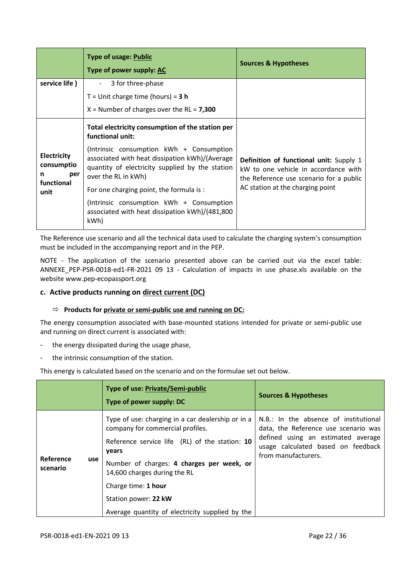|                                                            | <b>Type of usage: Public</b><br>Type of power supply: AC                                                                                                               | <b>Sources &amp; Hypotheses</b>                                                                                            |
|------------------------------------------------------------|------------------------------------------------------------------------------------------------------------------------------------------------------------------------|----------------------------------------------------------------------------------------------------------------------------|
| service life)                                              | 3 for three-phase<br>$\overline{\phantom{a}}$                                                                                                                          |                                                                                                                            |
|                                                            | T = Unit charge time (hours) = $3 h$                                                                                                                                   |                                                                                                                            |
|                                                            | $X =$ Number of charges over the RL = 7,300                                                                                                                            |                                                                                                                            |
|                                                            | Total electricity consumption of the station per<br>functional unit:                                                                                                   |                                                                                                                            |
| <b>Electricity</b><br>consumptio<br>per<br>n<br>functional | (Intrinsic consumption $kWh +$ Consumption<br>associated with heat dissipation kWh)/(Average<br>quantity of electricity supplied by the station<br>over the RL in kWh) | Definition of functional unit: Supply 1<br>kW to one vehicle in accordance with<br>the Reference use scenario for a public |
| unit                                                       | For one charging point, the formula is :                                                                                                                               | AC station at the charging point                                                                                           |
|                                                            | (Intrinsic consumption kWh + Consumption<br>associated with heat dissipation kWh)/(481,800<br>kWh)                                                                     |                                                                                                                            |

The Reference use scenario and all the technical data used to calculate the charging system's consumption must be included in the accompanying report and in the PEP.

NOTE - The application of the scenario presented above can be carried out via the excel table: ANNEXE\_PEP-PSR-0018-ed1-FR-2021 09 13 - Calculation of impacts in use phase.xls available on the website www.pep-ecopassport.org

#### **c. Active products running on direct current (DC)**

#### **Products for private or semi-public use and running on DC:**

The energy consumption associated with base-mounted stations intended for private or semi-public use and running on direct current is associated with:

- the energy dissipated during the usage phase,
- the intrinsic consumption of the station.

|                              | <b>Type of use: Private/Semi-public</b><br>Type of power supply: DC                                                                                                                                                                                                                                                             | <b>Sources &amp; Hypotheses</b>                                                                                                                                                  |
|------------------------------|---------------------------------------------------------------------------------------------------------------------------------------------------------------------------------------------------------------------------------------------------------------------------------------------------------------------------------|----------------------------------------------------------------------------------------------------------------------------------------------------------------------------------|
| Reference<br>use<br>scenario | Type of use: charging in a car dealership or in a<br>company for commercial profiles.<br>Reference service life (RL) of the station: 10<br>years<br>Number of charges: 4 charges per week, or<br>14,600 charges during the RL<br>Charge time: 1 hour<br>Station power: 22 kW<br>Average quantity of electricity supplied by the | N.B.: In the absence of institutional<br>data, the Reference use scenario was<br>defined using an estimated average<br>usage calculated based on feedback<br>from manufacturers. |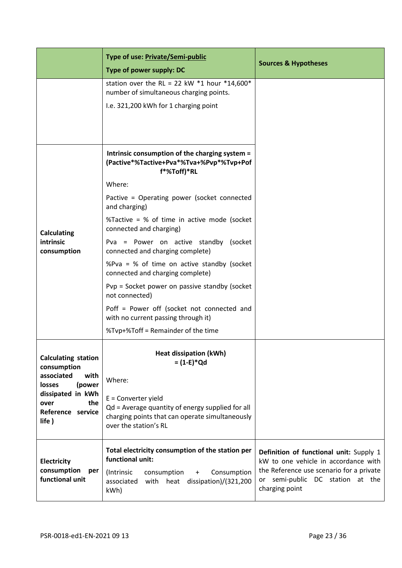|                                                                | Type of use: Private/Semi-public<br>Type of power supply: DC                                                                                                                         | <b>Sources &amp; Hypotheses</b>                                                                                                                                                   |
|----------------------------------------------------------------|--------------------------------------------------------------------------------------------------------------------------------------------------------------------------------------|-----------------------------------------------------------------------------------------------------------------------------------------------------------------------------------|
|                                                                | station over the RL = 22 kW $*1$ hour $*14,600*$<br>number of simultaneous charging points.<br>I.e. 321,200 kWh for 1 charging point                                                 |                                                                                                                                                                                   |
|                                                                | Intrinsic consumption of the charging system =<br>(Pactive*%Tactive+Pva*%Tva+%Pvp*%Tvp+Pof<br>f*%Toff)*RL                                                                            |                                                                                                                                                                                   |
|                                                                | Where:                                                                                                                                                                               |                                                                                                                                                                                   |
|                                                                | Pactive = Operating power (socket connected<br>and charging)                                                                                                                         |                                                                                                                                                                                   |
| <b>Calculating</b>                                             | %Tactive = % of time in active mode (socket<br>connected and charging)                                                                                                               |                                                                                                                                                                                   |
| intrinsic<br>consumption                                       | Pva = Power on active standby (socket<br>connected and charging complete)                                                                                                            |                                                                                                                                                                                   |
|                                                                | %Pva = % of time on active standby (socket<br>connected and charging complete)                                                                                                       |                                                                                                                                                                                   |
|                                                                | Pvp = Socket power on passive standby (socket<br>not connected)                                                                                                                      |                                                                                                                                                                                   |
|                                                                | Poff = Power off (socket not connected and<br>with no current passing through it)                                                                                                    |                                                                                                                                                                                   |
|                                                                | %Tvp+%Toff = Remainder of the time                                                                                                                                                   |                                                                                                                                                                                   |
| <b>Calculating station</b><br>consumption                      | <b>Heat dissipation (kWh)</b><br>$= (1-E)^*Qd$                                                                                                                                       |                                                                                                                                                                                   |
| associated<br>with<br>(power<br>losses                         | Where:                                                                                                                                                                               |                                                                                                                                                                                   |
| dissipated in kWh<br>the<br>over<br>Reference service<br>life) | E = Converter yield<br>Qd = Average quantity of energy supplied for all<br>charging points that can operate simultaneously<br>over the station's RL                                  |                                                                                                                                                                                   |
| Electricity<br>consumption<br>per<br>functional unit           | Total electricity consumption of the station per<br>functional unit:<br>(Intrinsic<br>Consumption<br>consumption<br>+<br>with<br>heat<br>dissipation)/(321,200<br>associated<br>kWh) | Definition of functional unit: Supply 1<br>kW to one vehicle in accordance with<br>the Reference use scenario for a private<br>or semi-public DC station at the<br>charging point |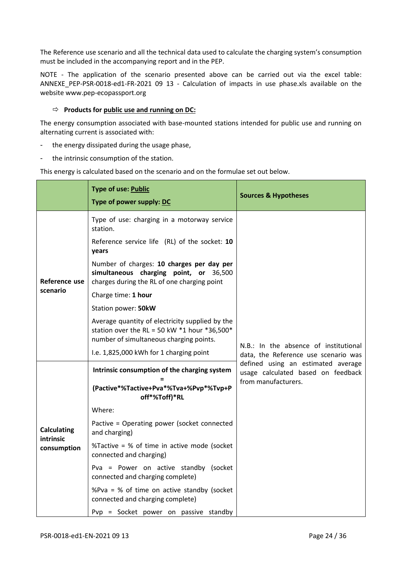The Reference use scenario and all the technical data used to calculate the charging system's consumption must be included in the accompanying report and in the PEP.

NOTE - The application of the scenario presented above can be carried out via the excel table: ANNEXE\_PEP-PSR-0018-ed1-FR-2021 09 13 - Calculation of impacts in use phase.xls available on the website www.pep-ecopassport.org

#### **Products for public use and running on DC:**

The energy consumption associated with base-mounted stations intended for public use and running on alternating current is associated with:

- the energy dissipated during the usage phase,
- the intrinsic consumption of the station.

|                                        | Type of use: Public<br>Type of power supply: DC                                                                                                | <b>Sources &amp; Hypotheses</b>                                                                 |  |  |  |  |
|----------------------------------------|------------------------------------------------------------------------------------------------------------------------------------------------|-------------------------------------------------------------------------------------------------|--|--|--|--|
|                                        | Type of use: charging in a motorway service<br>station.                                                                                        |                                                                                                 |  |  |  |  |
| Reference use                          | Reference service life (RL) of the socket: 10<br>years                                                                                         |                                                                                                 |  |  |  |  |
|                                        | Number of charges: 10 charges per day per<br>simultaneous charging point, or 36,500<br>charges during the RL of one charging point             |                                                                                                 |  |  |  |  |
| scenario                               | Charge time: 1 hour                                                                                                                            |                                                                                                 |  |  |  |  |
|                                        | Station power: 50kW                                                                                                                            |                                                                                                 |  |  |  |  |
|                                        | Average quantity of electricity supplied by the<br>station over the RL = 50 kW $*1$ hour $*36,500*$<br>number of simultaneous charging points. |                                                                                                 |  |  |  |  |
|                                        | I.e. 1,825,000 kWh for 1 charging point                                                                                                        | N.B.: In the absence of institutional<br>data, the Reference use scenario was                   |  |  |  |  |
|                                        | Intrinsic consumption of the charging system                                                                                                   | defined using an estimated average<br>usage calculated based on feedback<br>from manufacturers. |  |  |  |  |
|                                        | (Pactive*%Tactive+Pva*%Tva+%Pvp*%Tvp+P<br>off*%Toff)*RL                                                                                        |                                                                                                 |  |  |  |  |
|                                        | Where:                                                                                                                                         |                                                                                                 |  |  |  |  |
| <b>Calculating</b><br><i>intrinsic</i> | Pactive = Operating power (socket connected<br>and charging)                                                                                   |                                                                                                 |  |  |  |  |
| consumption                            | %Tactive = % of time in active mode (socket<br>connected and charging)                                                                         |                                                                                                 |  |  |  |  |
|                                        | Pva = Power on active standby (socket<br>connected and charging complete)                                                                      |                                                                                                 |  |  |  |  |
|                                        | %Pva = % of time on active standby (socket<br>connected and charging complete)                                                                 |                                                                                                 |  |  |  |  |
|                                        | Pvp = Socket power on passive standby                                                                                                          |                                                                                                 |  |  |  |  |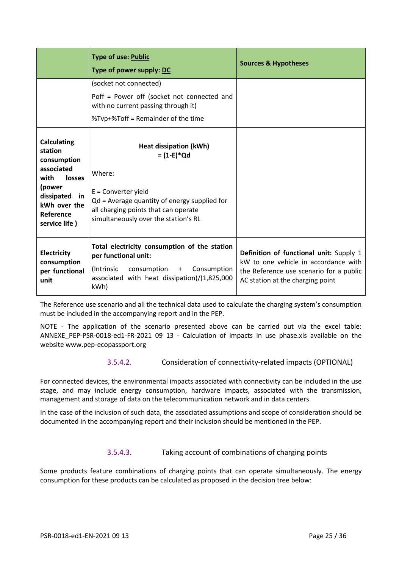|                                                                                                                                                          | Type of use: Public<br>Type of power supply: DC                                                                                                                                                               | <b>Sources &amp; Hypotheses</b>                                                                                                                                |
|----------------------------------------------------------------------------------------------------------------------------------------------------------|---------------------------------------------------------------------------------------------------------------------------------------------------------------------------------------------------------------|----------------------------------------------------------------------------------------------------------------------------------------------------------------|
|                                                                                                                                                          | (socket not connected)<br>Poff = Power off (socket not connected and<br>with no current passing through it)<br>%Tvp+%Toff = Remainder of the time                                                             |                                                                                                                                                                |
| <b>Calculating</b><br>station<br>consumption<br>associated<br>with<br>losses<br>(power<br>dissipated<br>in<br>kWh over the<br>Reference<br>service life) | Heat dissipation (kWh)<br>$= (1-E)^* Qd$<br>Where:<br>$E =$ Converter yield<br>$Qd$ = Average quantity of energy supplied for<br>all charging points that can operate<br>simultaneously over the station's RL |                                                                                                                                                                |
| Electricity<br>consumption<br>per functional<br>unit                                                                                                     | Total electricity consumption of the station<br>per functional unit:<br>(Intrinsic)<br>consumption<br>Consumption<br>$+$<br>associated with heat dissipation)/(1,825,000<br>kWh)                              | Definition of functional unit: Supply 1<br>kW to one vehicle in accordance with<br>the Reference use scenario for a public<br>AC station at the charging point |

The Reference use scenario and all the technical data used to calculate the charging system's consumption must be included in the accompanying report and in the PEP.

NOTE - The application of the scenario presented above can be carried out via the excel table: ANNEXE\_PEP-PSR-0018-ed1-FR-2021 09 13 - Calculation of impacts in use phase.xls available on the website www.pep-ecopassport.org

#### 3.5.4.2. Consideration of connectivity-related impacts (OPTIONAL)

For connected devices, the environmental impacts associated with connectivity can be included in the use stage, and may include energy consumption, hardware impacts, associated with the transmission, management and storage of data on the telecommunication network and in data centers.

In the case of the inclusion of such data, the associated assumptions and scope of consideration should be documented in the accompanying report and their inclusion should be mentioned in the PEP.

#### 3.5.4.3. Taking account of combinations of charging points

Some products feature combinations of charging points that can operate simultaneously. The energy consumption for these products can be calculated as proposed in the decision tree below: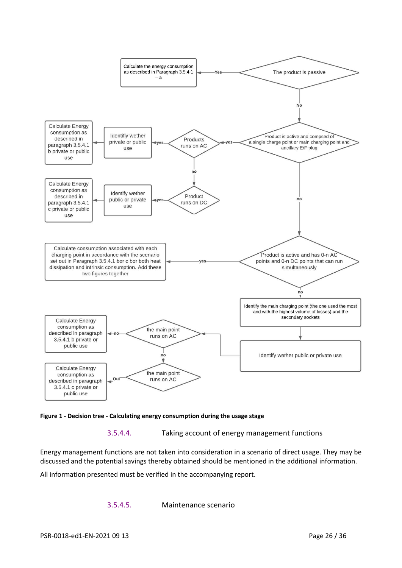



3.5.4.4. Taking account of energy management functions

Energy management functions are not taken into consideration in a scenario of direct usage. They may be discussed and the potential savings thereby obtained should be mentioned in the additional information.

All information presented must be verified in the accompanying report.

3.5.4.5. Maintenance scenario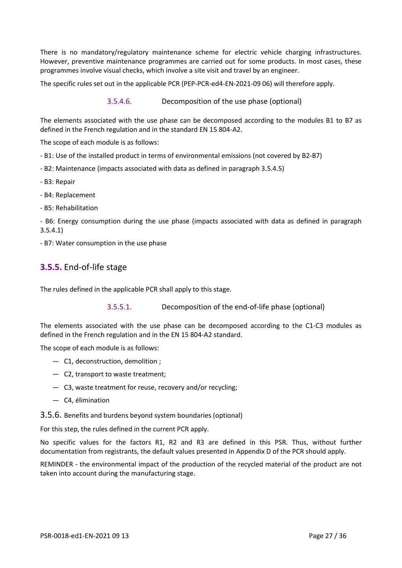There is no mandatory/regulatory maintenance scheme for electric vehicle charging infrastructures. However, preventive maintenance programmes are carried out for some products. In most cases, these programmes involve visual checks, which involve a site visit and travel by an engineer.

The specific rules set out in the applicable PCR (PEP-PCR-ed4-EN-2021-09 06) will therefore apply.

3.5.4.6. Decomposition of the use phase (optional)

The elements associated with the use phase can be decomposed according to the modules B1 to B7 as defined in the French regulation and in the standard EN 15 804-A2.

The scope of each module is as follows:

- B1: Use of the installed product in terms of environmental emissions (not covered by B2-B7)

- B2: Maintenance (impacts associated with data as defined in paragraph 3.5.4.5)

- B3: Repair

- B4: Replacement

- B5: Rehabilitation

- B6: Energy consumption during the use phase (impacts associated with data as defined in paragraph 3.5.4.1)

- B7: Water consumption in the use phase

#### <span id="page-26-0"></span>**3.5.5.** End-of-life stage

The rules defined in the applicable PCR shall apply to this stage.

3.5.5.1. Decomposition of the end-of-life phase (optional)

The elements associated with the use phase can be decomposed according to the C1-C3 modules as defined in the French regulation and in the EN 15 804-A2 standard.

The scope of each module is as follows:

- C1, deconstruction, demolition ;
- C2, transport to waste treatment;
- C3, waste treatment for reuse, recovery and/or recycling;
- C4, élimination

3.5.6. Benefits and burdens beyond system boundaries (optional)

For this step, the rules defined in the current PCR apply.

No specific values for the factors R1, R2 and R3 are defined in this PSR. Thus, without further documentation from registrants, the default values presented in Appendix D of the PCR should apply.

REMINDER - the environmental impact of the production of the recycled material of the product are not taken into account during the manufacturing stage.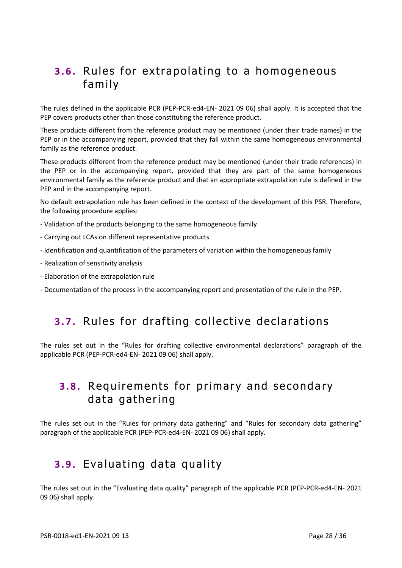# <span id="page-27-0"></span>**3 . 6 .** Rules for extrapolating to a homogeneous family

The rules defined in the applicable PCR (PEP-PCR-ed4-EN- 2021 09 06) shall apply. It is accepted that the PEP covers products other than those constituting the reference product.

These products different from the reference product may be mentioned (under their trade names) in the PEP or in the accompanying report, provided that they fall within the same homogeneous environmental family as the reference product.

These products different from the reference product may be mentioned (under their trade references) in the PEP or in the accompanying report, provided that they are part of the same homogeneous environmental family as the reference product and that an appropriate extrapolation rule is defined in the PEP and in the accompanying report.

No default extrapolation rule has been defined in the context of the development of this PSR. Therefore, the following procedure applies:

- Validation of the products belonging to the same homogeneous family
- Carrying out LCAs on different representative products
- Identification and quantification of the parameters of variation within the homogeneous family
- Realization of sensitivity analysis
- Elaboration of the extrapolation rule
- <span id="page-27-1"></span>- Documentation of the process in the accompanying report and presentation of the rule in the PEP.

# **3.7.** Rules for drafting collective declarations

<span id="page-27-2"></span>The rules set out in the "Rules for drafting collective environmental declarations" paragraph of the applicable PCR (PEP-PCR-ed4-EN- 2021 09 06) shall apply.

# **3.8.** Requirements for primary and secondary data gathering

<span id="page-27-3"></span>The rules set out in the "Rules for primary data gathering" and "Rules for secondary data gathering" paragraph of the applicable PCR (PEP-PCR-ed4-EN- 2021 09 06) shall apply.

# **3 . 9 .** Evaluating data quality

The rules set out in the "Evaluating data quality" paragraph of the applicable PCR (PEP-PCR-ed4-EN- 2021 09 06) shall apply.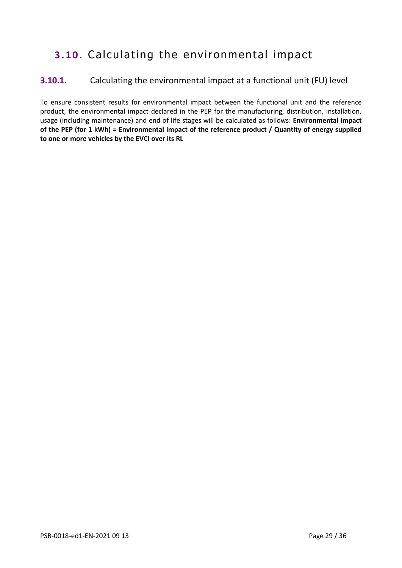# <span id="page-28-1"></span><span id="page-28-0"></span>**3 . 1 0 .** Calculating the environmental impact

### **3.10.1.** Calculating the environmental impact at a functional unit (FU) level

To ensure consistent results for environmental impact between the functional unit and the reference product, the environmental impact declared in the PEP for the manufacturing, distribution, installation, usage (including maintenance) and end of life stages will be calculated as follows: **Environmental impact of the PEP (for 1 kWh) = Environmental impact of the reference product / Quantity of energy supplied to one or more vehicles by the EVCI over its RL**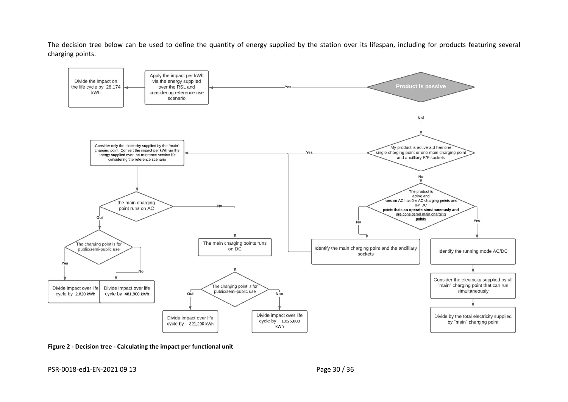The decision tree below can be used to define the quantity of energy supplied by the station over its lifespan, including for products featuring several charging points.



**Figure 2 - Decision tree - Calculating the impact per functional unit**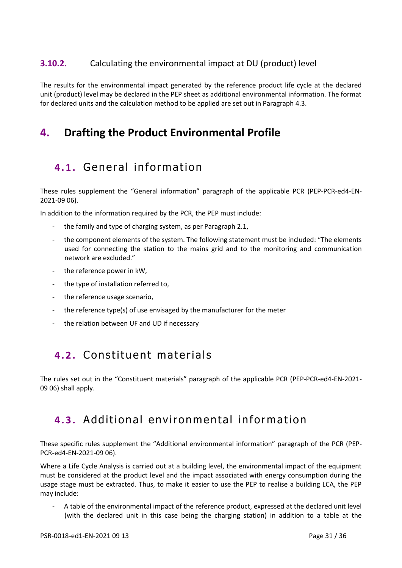### <span id="page-30-0"></span>**3.10.2.** Calculating the environmental impact at DU (product) level

The results for the environmental impact generated by the reference product life cycle at the declared unit (product) level may be declared in the PEP sheet as additional environmental information. The format for declared units and the calculation method to be applied are set out in Paragraph 4.3.

## <span id="page-30-2"></span><span id="page-30-1"></span>**4. Drafting the Product Environmental Profile**

### **4 . 1 .** General information

These rules supplement the "General information" paragraph of the applicable PCR (PEP-PCR-ed4-EN-2021-09 06).

In addition to the information required by the PCR, the PEP must include:

- the family and type of charging system, as per Paragraph 2.1,
- the component elements of the system. The following statement must be included: "The elements used for connecting the station to the mains grid and to the monitoring and communication network are excluded."
- the reference power in kW.
- the type of installation referred to,
- the reference usage scenario,
- the reference type(s) of use envisaged by the manufacturer for the meter
- <span id="page-30-3"></span>- the relation between UF and UD if necessary

# **4 . 2 .** Constitue nt materials

<span id="page-30-4"></span>The rules set out in the "Constituent materials" paragraph of the applicable PCR (PEP-PCR-ed4-EN-2021- 09 06) shall apply.

### **4 . 3 .** Additional environmental information

These specific rules supplement the "Additional environmental information" paragraph of the PCR (PEP-PCR-ed4-EN-2021-09 06).

Where a Life Cycle Analysis is carried out at a building level, the environmental impact of the equipment must be considered at the product level and the impact associated with energy consumption during the usage stage must be extracted. Thus, to make it easier to use the PEP to realise a building LCA, the PEP may include:

- A table of the environmental impact of the reference product, expressed at the declared unit level (with the declared unit in this case being the charging station) in addition to a table at the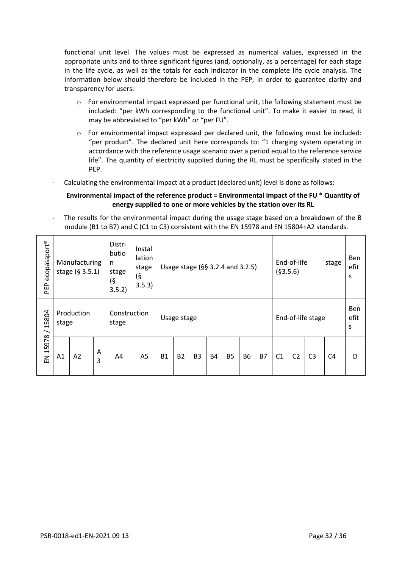functional unit level. The values must be expressed as numerical values, expressed in the appropriate units and to three significant figures (and, optionally, as a percentage) for each stage in the life cycle, as well as the totals for each indicator in the complete life cycle analysis. The information below should therefore be included in the PEP, in order to guarantee clarity and transparency for users:

- $\circ$  For environmental impact expressed per functional unit, the following statement must be included: "per kWh corresponding to the functional unit". To make it easier to read, it may be abbreviated to "per kWh" or "per FU".
- o For environmental impact expressed per declared unit, the following must be included: "per product". The declared unit here corresponds to: "1 charging system operating in accordance with the reference usage scenario over a period equal to the reference service life". The quantity of electricity supplied during the RL must be specifically stated in the PEP.
- Calculating the environmental impact at a product (declared unit) level is done as follows:

#### **Environmental impact of the reference product = Environmental impact of the FU \* Quantity of energy supplied to one or more vehicles by the station over its RL**

The results for the environmental impact during the usage stage based on a breakdown of the B module (B1 to B7) and C (C1 to C3) consistent with the EN 15978 and EN 15804+A2 standards.

| ecopassport®<br><b>PEP</b>        |       | Manufacturing<br>stage $(§ 3.5.1)$ |        | Distri<br>butio<br>n<br>stage<br>$(\S$<br>3.5.2 | Instal<br>lation<br>stage<br>(§<br>3.5.3) | Usage stage (§§ 3.2.4 and 3.2.5) |             |                |           |           |           |           |    |                   | End-of-life<br>(§3.5.6) |                  |   |  |  | stage | Ben<br>efit<br>S |
|-----------------------------------|-------|------------------------------------|--------|-------------------------------------------------|-------------------------------------------|----------------------------------|-------------|----------------|-----------|-----------|-----------|-----------|----|-------------------|-------------------------|------------------|---|--|--|-------|------------------|
| 15804<br>$\overline{\phantom{0}}$ | stage | Production                         |        | Construction<br>stage                           |                                           |                                  | Usage stage |                |           |           |           |           |    | End-of-life stage |                         | Ben<br>efit<br>S |   |  |  |       |                  |
| EN 15978                          | A1    | A2                                 | Α<br>3 | A4                                              | A <sub>5</sub>                            | <b>B1</b>                        | <b>B2</b>   | B <sub>3</sub> | <b>B4</b> | <b>B5</b> | <b>B6</b> | <b>B7</b> | C1 | C <sub>2</sub>    | C <sub>3</sub>          | C <sub>4</sub>   | D |  |  |       |                  |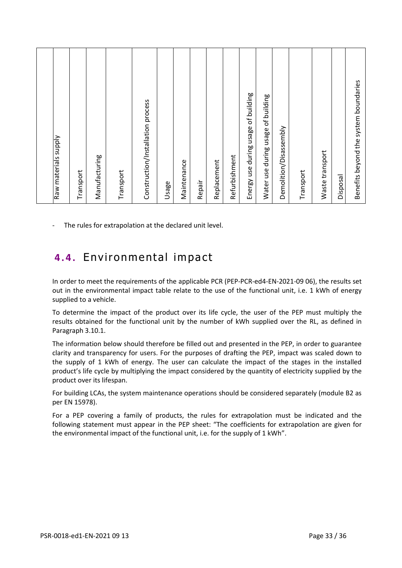| Raw materials supply                                                                                                                                                                                                                                                                                                                                                                                                                                                          | Transport      | Manufacturing          | Transport                                                                                                                                                                                              | Construction/Installation process | Usage | Maintenance | Repair | Replacement | Refurbishment | Energy use during usage of building | Water use during usage of building | Demolition/Disassembly | Transport | Waste transport | Disposal | Benefits beyond the system boundaries |
|-------------------------------------------------------------------------------------------------------------------------------------------------------------------------------------------------------------------------------------------------------------------------------------------------------------------------------------------------------------------------------------------------------------------------------------------------------------------------------|----------------|------------------------|--------------------------------------------------------------------------------------------------------------------------------------------------------------------------------------------------------|-----------------------------------|-------|-------------|--------|-------------|---------------|-------------------------------------|------------------------------------|------------------------|-----------|-----------------|----------|---------------------------------------|
| The rules for extrapolation at the declared unit level.<br>4.4. Environmental impact<br>In order to meet the requirements of the applicable PCR (PEP-PCR-ed4-EN-2021-09 06), the results set<br>out in the environmental impact table relate to the use of the functional unit, i.e. 1 kWh of energy                                                                                                                                                                          |                |                        |                                                                                                                                                                                                        |                                   |       |             |        |             |               |                                     |                                    |                        |           |                 |          |                                       |
|                                                                                                                                                                                                                                                                                                                                                                                                                                                                               |                | supplied to a vehicle. | To determine the impact of the product over its life cycle, the user of the PEP must multiply the<br>results obtained for the functional unit by the number of kWh supplied over the RL, as defined in |                                   |       |             |        |             |               |                                     |                                    |                        |           |                 |          |                                       |
| Paragraph 3.10.1.<br>The information below should therefore be filled out and presented in the PEP, in order to guarantee<br>clarity and transparency for users. For the purposes of drafting the PEP, impact was scaled down to<br>the supply of 1 kWh of energy. The user can calculate the impact of the stages in the installed<br>product's life cycle by multiplying the impact considered by the quantity of electricity supplied by the<br>product over its lifespan. |                |                        |                                                                                                                                                                                                        |                                   |       |             |        |             |               |                                     |                                    |                        |           |                 |          |                                       |
|                                                                                                                                                                                                                                                                                                                                                                                                                                                                               | per EN 15978). |                        | For building LCAs, the system maintenance operations should be considered separately (module B2 as                                                                                                     |                                   |       |             |        |             |               |                                     |                                    |                        |           |                 |          |                                       |
| For a PEP covering a family of products, the rules for extrapolation must be indicated and the<br>following statement must appear in the PEP sheet: "The coefficients for extrapolation are given for<br>the environmental impact of the functional unit, i.e. for the supply of 1 kWh".                                                                                                                                                                                      |                |                        |                                                                                                                                                                                                        |                                   |       |             |        |             |               |                                     |                                    |                        |           |                 |          |                                       |
|                                                                                                                                                                                                                                                                                                                                                                                                                                                                               |                |                        |                                                                                                                                                                                                        |                                   |       |             |        |             |               |                                     |                                    |                        |           |                 |          |                                       |
|                                                                                                                                                                                                                                                                                                                                                                                                                                                                               |                |                        |                                                                                                                                                                                                        |                                   |       |             |        |             |               |                                     |                                    |                        |           |                 |          |                                       |
|                                                                                                                                                                                                                                                                                                                                                                                                                                                                               |                |                        |                                                                                                                                                                                                        |                                   |       |             |        |             |               |                                     |                                    |                        |           |                 |          |                                       |
| PSR-0018-ed1-EN-2021 09 13<br>Page 33 / 36                                                                                                                                                                                                                                                                                                                                                                                                                                    |                |                        |                                                                                                                                                                                                        |                                   |       |             |        |             |               |                                     |                                    |                        |           |                 |          |                                       |

# <span id="page-32-0"></span>**4 . 4 .** Environmental impact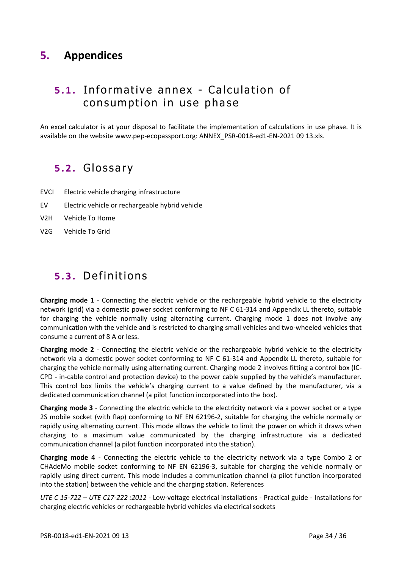## <span id="page-33-1"></span><span id="page-33-0"></span>**5. Appendices**

# **5 . 1 .** Informative annex - Calculation of consumption in use phase

An excel calculator is at your disposal to facilitate the implementation of calculations in use phase. It is available on the website www.pep-ecopassport.org: ANNEX\_PSR-0018-ed1-EN-2021 09 13.xls.

### **5 . 2 .** Glossary

- EVCI Electric vehicle charging infrastructure
- EV Electric vehicle or rechargeable hybrid vehicle
- V2H Vehicle To Home
- V2G Vehicle To Grid

# <span id="page-33-2"></span>**5 . 3 .** Definitions

**Charging mode 1** - Connecting the electric vehicle or the rechargeable hybrid vehicle to the electricity network (grid) via a domestic power socket conforming to NF C 61-314 and Appendix LL thereto, suitable for charging the vehicle normally using alternating current. Charging mode 1 does not involve any communication with the vehicle and is restricted to charging small vehicles and two-wheeled vehicles that consume a current of 8 A or less.

**Charging mode 2** - Connecting the electric vehicle or the rechargeable hybrid vehicle to the electricity network via a domestic power socket conforming to NF C 61-314 and Appendix LL thereto, suitable for charging the vehicle normally using alternating current. Charging mode 2 involves fitting a control box (IC-CPD - in-cable control and protection device) to the power cable supplied by the vehicle's manufacturer. This control box limits the vehicle's charging current to a value defined by the manufacturer, via a dedicated communication channel (a pilot function incorporated into the box).

**Charging mode 3** - Connecting the electric vehicle to the electricity network via a power socket or a type 2S mobile socket (with flap) conforming to NF EN 62196-2, suitable for charging the vehicle normally or rapidly using alternating current. This mode allows the vehicle to limit the power on which it draws when charging to a maximum value communicated by the charging infrastructure via a dedicated communication channel (a pilot function incorporated into the station).

**Charging mode 4** - Connecting the electric vehicle to the electricity network via a type Combo 2 or CHAdeMo mobile socket conforming to NF EN 62196-3, suitable for charging the vehicle normally or rapidly using direct current. This mode includes a communication channel (a pilot function incorporated into the station) between the vehicle and the charging station. References

*UTE C 15-722 – UTE C17-222 :2012 -* Low-voltage electrical installations - Practical guide - Installations for charging electric vehicles or rechargeable hybrid vehicles via electrical sockets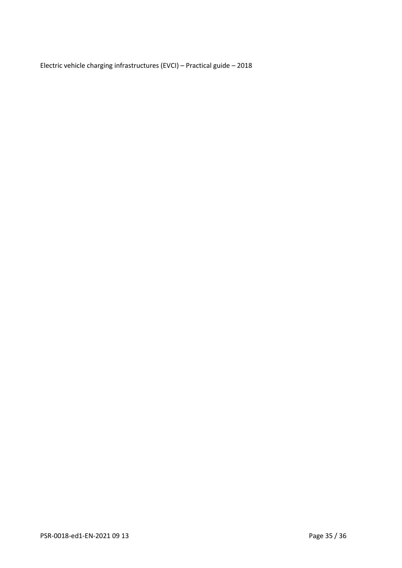Electric vehicle charging infrastructures (EVCI) – Practical guide – 2018